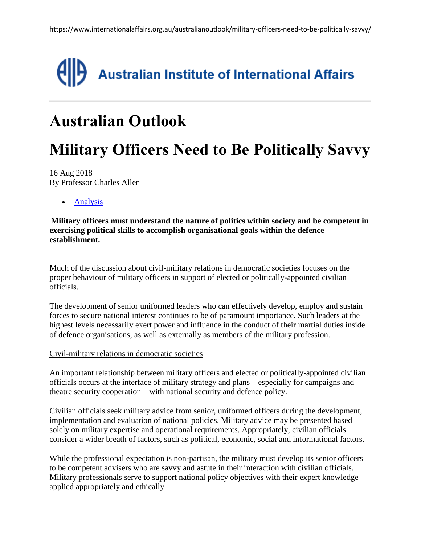

## **Australian Outlook**

# **Military Officers Need to Be Politically Savvy**

16 Aug 2018 By Professor Charles Allen

• [Analysis](https://www.internationalaffairs.org.au/australian-outlook/?filter%5b%5d=analysis)

**Military officers must understand the nature of politics within society and be competent in exercising political skills to accomplish organisational goals within the defence establishment.**

Much of the discussion about civil-military relations in democratic societies focuses on the proper behaviour of military officers in support of elected or politically-appointed civilian officials.

The development of senior uniformed leaders who can effectively develop, employ and sustain forces to secure national interest continues to be of paramount importance. Such leaders at the highest levels necessarily exert power and influence in the conduct of their martial duties inside of defence organisations, as well as externally as members of the military profession.

#### Civil-military relations in democratic societies

An important relationship between military officers and elected or politically-appointed civilian officials occurs at the interface of military strategy and plans—especially for campaigns and theatre security cooperation—with national security and defence policy.

Civilian officials seek military advice from senior, uniformed officers during the development, implementation and evaluation of national policies. Military advice may be presented based solely on military expertise and operational requirements. Appropriately, civilian officials consider a wider breath of factors, such as political, economic, social and informational factors.

While the professional expectation is non-partisan, the military must develop its senior officers to be competent advisers who are savvy and astute in their interaction with civilian officials. Military professionals serve to support national policy objectives with their expert knowledge applied appropriately and ethically.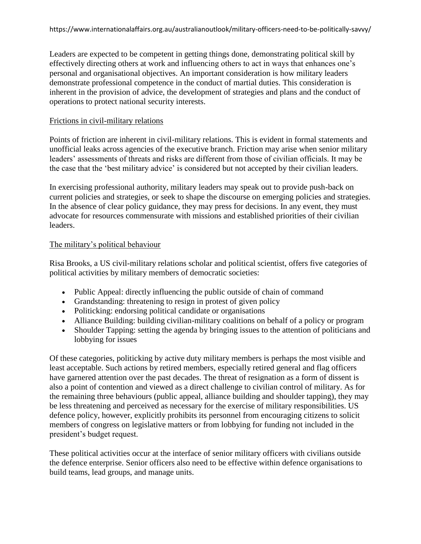Leaders are expected to be competent in getting things done, demonstrating political skill by effectively directing others at work and influencing others to act in ways that enhances one's personal and organisational objectives. An important consideration is how military leaders demonstrate professional competence in the conduct of martial duties. This consideration is inherent in the provision of advice, the development of strategies and plans and the conduct of operations to protect national security interests.

#### Frictions in civil-military relations

Points of friction are inherent in civil-military relations. This is evident in formal statements and unofficial leaks across agencies of the executive branch. Friction may arise when senior military leaders' assessments of threats and risks are different from those of civilian officials. It may be the case that the 'best military advice' is considered but not accepted by their civilian leaders.

In exercising professional authority, military leaders may speak out to provide push-back on current policies and strategies, or seek to shape the discourse on emerging policies and strategies. In the absence of clear policy guidance, they may press for decisions. In any event, they must advocate for resources commensurate with missions and established priorities of their civilian leaders.

#### The military's political behaviour

Risa Brooks, a US civil-military relations scholar and political scientist, offers five categories of political activities by military members of democratic societies:

- Public Appeal: directly influencing the public outside of chain of command
- Grandstanding: threatening to resign in protest of given policy
- Politicking: endorsing political candidate or organisations
- Alliance Building: building civilian-military coalitions on behalf of a policy or program
- Shoulder Tapping: setting the agenda by bringing issues to the attention of politicians and lobbying for issues

Of these categories, politicking by active duty military members is perhaps the most visible and least acceptable. Such actions by retired members, especially retired general and flag officers have garnered attention over the past decades. The threat of resignation as a form of dissent is also a point of contention and viewed as a direct challenge to civilian control of military. As for the remaining three behaviours (public appeal, alliance building and shoulder tapping), they may be less threatening and perceived as necessary for the exercise of military responsibilities. US defence policy, however, explicitly prohibits its personnel from encouraging citizens to solicit members of congress on legislative matters or from lobbying for funding not included in the president's budget request.

These political activities occur at the interface of senior military officers with civilians outside the defence enterprise. Senior officers also need to be effective within defence organisations to build teams, lead groups, and manage units.